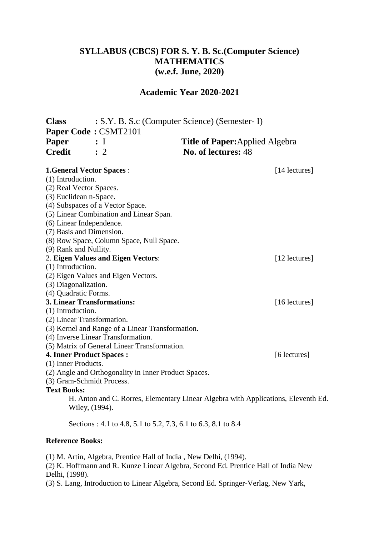# **SYLLABUS (CBCS) FOR S. Y. B. Sc.(Computer Science) MATHEMATICS (w.e.f. June, 2020)**

### **Academic Year 2020-2021**

| <b>Class</b>            |                                              | : S.Y. B. S.c (Computer Science) (Semester- I)                                    |               |  |
|-------------------------|----------------------------------------------|-----------------------------------------------------------------------------------|---------------|--|
|                         | Paper Code: CSMT2101                         |                                                                                   |               |  |
| Paper                   | : I                                          | <b>Title of Paper:</b> Applied Algebra                                            |               |  |
| <b>Credit</b>           | $\therefore$ 2                               | No. of lectures: 48                                                               |               |  |
|                         |                                              |                                                                                   |               |  |
|                         | <b>1.General Vector Spaces:</b>              |                                                                                   | [14 lectures] |  |
| (1) Introduction.       |                                              |                                                                                   |               |  |
| (2) Real Vector Spaces. |                                              |                                                                                   |               |  |
| (3) Euclidean n-Space.  |                                              |                                                                                   |               |  |
|                         | (4) Subspaces of a Vector Space.             |                                                                                   |               |  |
|                         | (5) Linear Combination and Linear Span.      |                                                                                   |               |  |
|                         | (6) Linear Independence.                     |                                                                                   |               |  |
|                         | (7) Basis and Dimension.                     |                                                                                   |               |  |
|                         | (8) Row Space, Column Space, Null Space.     |                                                                                   |               |  |
| (9) Rank and Nullity.   |                                              |                                                                                   |               |  |
|                         | 2. Eigen Values and Eigen Vectors:           |                                                                                   | [12 lectures] |  |
| (1) Introduction.       |                                              |                                                                                   |               |  |
|                         | (2) Eigen Values and Eigen Vectors.          |                                                                                   |               |  |
| (3) Diagonalization.    |                                              |                                                                                   |               |  |
| (4) Quadratic Forms.    |                                              |                                                                                   |               |  |
|                         | <b>3. Linear Transformations:</b>            |                                                                                   | [16 lectures] |  |
| (1) Introduction.       |                                              |                                                                                   |               |  |
|                         | (2) Linear Transformation.                   |                                                                                   |               |  |
|                         | (4) Inverse Linear Transformation.           | (3) Kernel and Range of a Linear Transformation.                                  |               |  |
|                         | (5) Matrix of General Linear Transformation. |                                                                                   |               |  |
|                         | <b>4. Inner Product Spaces:</b>              |                                                                                   | [6 lectures]  |  |
| (1) Inner Products.     |                                              |                                                                                   |               |  |
|                         |                                              | (2) Angle and Orthogonality in Inner Product Spaces.                              |               |  |
|                         | (3) Gram-Schmidt Process.                    |                                                                                   |               |  |
| <b>Text Books:</b>      |                                              |                                                                                   |               |  |
|                         |                                              | H. Anton and C. Rorres, Elementary Linear Algebra with Applications, Eleventh Ed. |               |  |
|                         | Wiley, (1994).                               |                                                                                   |               |  |
|                         |                                              | Sections: 4.1 to 4.8, 5.1 to 5.2, 7.3, 6.1 to 6.3, 8.1 to 8.4                     |               |  |

### **Reference Books:**

(1) M. Artin, Algebra, Prentice Hall of India , New Delhi, (1994).

(2) K. Hoffmann and R. Kunze Linear Algebra, Second Ed. Prentice Hall of India New Delhi, (1998).

(3) S. Lang, Introduction to Linear Algebra, Second Ed. Springer-Verlag, New Yark,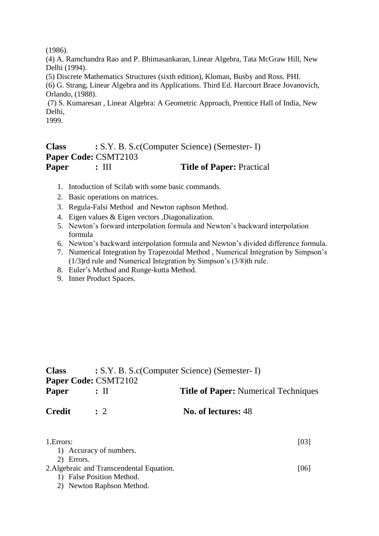(1986).

(4) A. Ramchandra Rao and P. Bhimasankaran, Linear Algebra, Tata McGraw Hill, New Delhi (1994).

(5) Discrete Mathematics Structures (sixth edition), Kloman, Busby and Ross. PHI.

(6) G. Strang, Linear Algebra and its Applications. Third Ed. Harcourt Brace Jovanovich, Orlando, (1988).

(7) S. Kumaresan , Linear Algebra: A Geometric Approach, Prentice Hall of India, New Delhi,

1999.

# **Class :** S.Y. B. S.c(Computer Science) (Semester- I) **Paper Code:** CSMT2103 **Paper :** III **Title of Paper:** Practical

- 1. Intoduction of Scilab with some basic commands.
- 2. Basic operations on matrices.
- 3. Regula-Falsi Method and Newton raphson Method.
- 4. Eigen values & Eigen vectors ,Diagonalization.
- 5. Newton's forward interpolation formula and Newton's backward interpolation formula
- 6. Newton's backward interpolation formula and Newton's divided difference formula.
- 7. Numerical Integration by Trapezoidal Method , Numerical Integration by Simpson's (1/3)rd rule and Numerical Integration by Simpson's (3/8)th rule.
- 8. Euler's Method and Runge-kutta Method.
- 9. Inner Product Spaces.

| <b>Class</b>  | : S.Y. B. S.c(Computer Science) (Semester- I) |                                             |  |  |
|---------------|-----------------------------------------------|---------------------------------------------|--|--|
|               | <b>Paper Code: CSMT2102</b>                   |                                             |  |  |
| Paper         | $:$ 11                                        | <b>Title of Paper:</b> Numerical Techniques |  |  |
| <b>Credit</b> | $\therefore$ 2                                | No. of lectures: 48                         |  |  |
|               |                                               |                                             |  |  |

| 1. Errors:                                | [03] |
|-------------------------------------------|------|
| 1) Accuracy of numbers.                   |      |
| 2) Errors.                                |      |
| 2. Algebraic and Transcendental Equation. | [06] |
| 1) False Position Method.                 |      |
| 2) Newton Raphson Method.                 |      |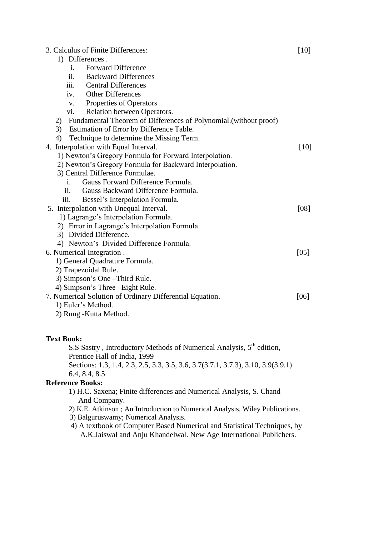| 3. Calculus of Finite Differences:                                      | $[10]$ |
|-------------------------------------------------------------------------|--------|
| 1) Differences.                                                         |        |
| <b>Forward Difference</b><br>i.                                         |        |
| ii. Backward Differences                                                |        |
| iii.<br><b>Central Differences</b>                                      |        |
| Other Differences<br>iv.                                                |        |
| <b>Properties of Operators</b><br>$V_{\bullet}$                         |        |
| Relation between Operators.<br>vi.                                      |        |
| Fundamental Theorem of Differences of Polynomial. (without proof)<br>2) |        |
| 3)<br>Estimation of Error by Difference Table.                          |        |
| Technique to determine the Missing Term.<br>4)                          |        |
| 4. Interpolation with Equal Interval.                                   | $[10]$ |
| 1) Newton's Gregory Formula for Forward Interpolation.                  |        |
| 2) Newton's Gregory Formula for Backward Interpolation.                 |        |
| 3) Central Difference Formulae.                                         |        |
| Gauss Forward Difference Formula.<br>Ť.                                 |        |
| Gauss Backward Difference Formula.<br>11.                               |        |
| iii.<br>Bessel's Interpolation Formula.                                 |        |
| 5. Interpolation with Unequal Interval.                                 | [08]   |
| 1) Lagrange's Interpolation Formula.                                    |        |
| 2) Error in Lagrange's Interpolation Formula.                           |        |
| 3) Divided Difference.                                                  |        |
| 4) Newton's Divided Difference Formula.                                 |        |
| 6. Numerical Integration.                                               | [05]   |
| 1) General Quadrature Formula.                                          |        |
| 2) Trapezoidal Rule.                                                    |        |
| 3) Simpson's One – Third Rule.                                          |        |
| 4) Simpson's Three - Eight Rule.                                        |        |
| 7. Numerical Solution of Ordinary Differential Equation.                | [06]   |
| 1) Euler's Method.                                                      |        |
| 2) Rung - Kutta Method.                                                 |        |

#### **Text Book:**

S.S Sastry, Introductory Methods of Numerical Analysis, 5<sup>th</sup> edition, Prentice Hall of India, 1999

Sections: 1.3, 1.4, 2.3, 2.5, 3.3, 3.5, 3.6, 3.7(3.7.1, 3.7.3), 3.10, 3.9(3.9.1) 6.4, 8.4, 8.5

### **Reference Books:**

- 1) H.C. Saxena; Finite differences and Numerical Analysis, S. Chand And Company.
- 2) K.E. Atkinson ; An Introduction to Numerical Analysis, Wiley Publications.
- 3) Balguruswamy; Numerical Analysis.
- 4) A textbook of Computer Based Numerical and Statistical Techniques, by A.K.Jaiswal and Anju Khandelwal. New Age International Publichers.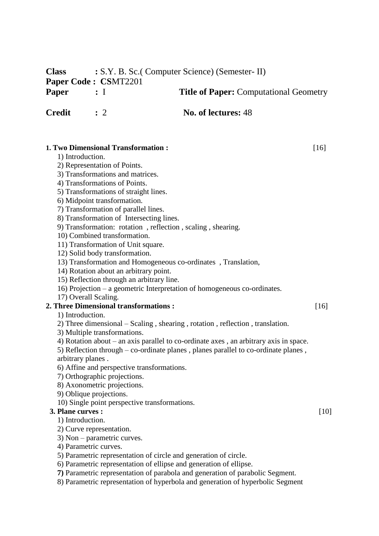**Class :** S.Y. B. Sc.( Computer Science) (Semester- II) **Paper Code : CS**MT2201 **Paper :** I **Title of Paper:** Computational Geometry **Credit :** 2 **No. of lectures:** 48

**1. Two Dimensional Transformation :** [16]

- 1) Introduction.
- 2) Representation of Points.
- 3) Transformations and matrices.
- 4) Transformations of Points.
- 5) Transformations of straight lines.
- 6) Midpoint transformation.
- 7) Transformation of parallel lines.
- 8) Transformation of Intersecting lines.
- 9) Transformation: rotation , reflection , scaling , shearing.
- 10) Combined transformation.
- 11) Transformation of Unit square.
- 12) Solid body transformation.
- 13) Transformation and Homogeneous co-ordinates , Translation,
- 14) Rotation about an arbitrary point.
- 15) Reflection through an arbitrary line.
- 16) Projection a geometric Interpretation of homogeneous co-ordinates.
- 17) Overall Scaling.

## **2. Three Dimensional transformations :** [16]

- 1) Introduction.
- 2) Three dimensional Scaling , shearing , rotation , reflection , translation.
- 3) Multiple transformations.
- 4) Rotation about an axis parallel to co-ordinate axes , an arbitrary axis in space.
- 5) Reflection through co-ordinate planes , planes parallel to co-ordinate planes ,
- arbitrary planes .
- 6) Affine and perspective transformations.
- 7) Orthographic projections.
- 8) Axonometric projections.
- 9) Oblique projections.
- 10) Single point perspective transformations.

## **3. Plane curves :** [10]

- 1) Introduction.
- 2) Curve representation.
- 3) Non parametric curves.
- 4) Parametric curves.
- 5) Parametric representation of circle and generation of circle.
- 6) Parametric representation of ellipse and generation of ellipse.
- **7)** Parametric representation of parabola and generation of parabolic Segment.
- 8) Parametric representation of hyperbola and generation of hyperbolic Segment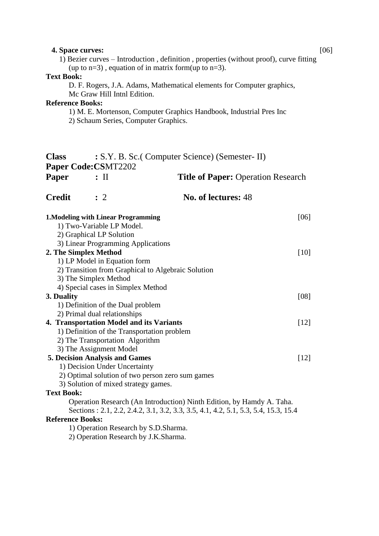| 4. Space curves:        |                                             |                                                                                                                                                             | [06] |  |
|-------------------------|---------------------------------------------|-------------------------------------------------------------------------------------------------------------------------------------------------------------|------|--|
|                         |                                             | 1) Bezier curves – Introduction, definition, properties (without proof), curve fitting                                                                      |      |  |
|                         |                                             | (up to $n=3$ ), equation of in matrix form(up to $n=3$ ).                                                                                                   |      |  |
| <b>Text Book:</b>       |                                             |                                                                                                                                                             |      |  |
|                         |                                             | D. F. Rogers, J.A. Adams, Mathematical elements for Computer graphics,                                                                                      |      |  |
|                         | Mc Graw Hill Inthl Edition.                 |                                                                                                                                                             |      |  |
| <b>Reference Books:</b> |                                             |                                                                                                                                                             |      |  |
|                         |                                             | 1) M. E. Mortenson, Computer Graphics Handbook, Industrial Pres Inc                                                                                         |      |  |
|                         | 2) Schaum Series, Computer Graphics.        |                                                                                                                                                             |      |  |
| <b>Class</b>            |                                             | : S.Y. B. Sc. (Computer Science) (Semester- II)                                                                                                             |      |  |
|                         | Paper Code: CSMT2202                        |                                                                                                                                                             |      |  |
| Paper                   | $:$ II                                      | <b>Title of Paper: Operation Research</b>                                                                                                                   |      |  |
| <b>Credit</b>           | $\therefore$ 2                              | No. of lectures: 48                                                                                                                                         |      |  |
|                         |                                             |                                                                                                                                                             |      |  |
|                         | <b>1. Modeling with Linear Programming</b>  | [06]                                                                                                                                                        |      |  |
|                         | 1) Two-Variable LP Model.                   |                                                                                                                                                             |      |  |
|                         | 2) Graphical LP Solution                    |                                                                                                                                                             |      |  |
|                         | 3) Linear Programming Applications          |                                                                                                                                                             |      |  |
|                         | 2. The Simplex Method                       | $[10]$                                                                                                                                                      |      |  |
|                         | 1) LP Model in Equation form                |                                                                                                                                                             |      |  |
|                         |                                             | 2) Transition from Graphical to Algebraic Solution                                                                                                          |      |  |
|                         | 3) The Simplex Method                       |                                                                                                                                                             |      |  |
|                         | 4) Special cases in Simplex Method          |                                                                                                                                                             |      |  |
| 3. Duality              |                                             |                                                                                                                                                             |      |  |
|                         | 1) Definition of the Dual problem           |                                                                                                                                                             |      |  |
|                         | 2) Primal dual relationships                |                                                                                                                                                             |      |  |
|                         | 4. Transportation Model and its Variants    | $[12]$                                                                                                                                                      |      |  |
|                         | 1) Definition of the Transportation problem |                                                                                                                                                             |      |  |
|                         | 2) The Transportation Algorithm             |                                                                                                                                                             |      |  |
|                         | 3) The Assignment Model                     |                                                                                                                                                             |      |  |
|                         | <b>5. Decision Analysis and Games</b>       | $[12]$                                                                                                                                                      |      |  |
|                         | 1) Decision Under Uncertainty               |                                                                                                                                                             |      |  |
|                         |                                             | 2) Optimal solution of two person zero sum games                                                                                                            |      |  |
|                         | 3) Solution of mixed strategy games.        |                                                                                                                                                             |      |  |
| <b>Text Book:</b>       |                                             |                                                                                                                                                             |      |  |
|                         |                                             | Operation Research (An Introduction) Ninth Edition, by Hamdy A. Taha.<br>Sections: 2.1, 2.2, 2.4.2, 3.1, 3.2, 3.3, 3.5, 4.1, 4.2, 5.1, 5.3, 5.4, 15.3, 15.4 |      |  |
| <b>Reference Books:</b> |                                             |                                                                                                                                                             |      |  |
|                         | 1) Operation Research by S.D.Sharma.        |                                                                                                                                                             |      |  |
|                         | 2) Operation Research by J.K.Sharma.        |                                                                                                                                                             |      |  |